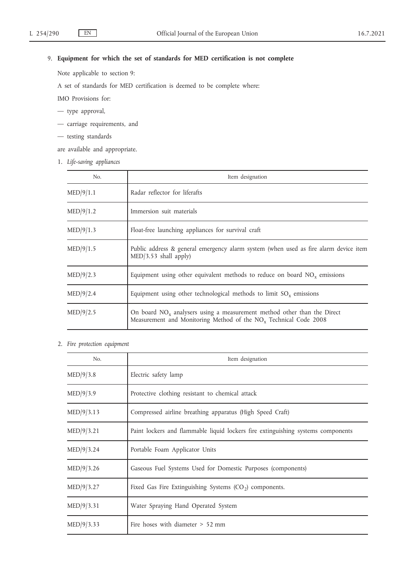# 9. **Equipment for which the set of standards for MED certification is not complete**

Note applicable to section 9:

A set of standards for MED certification is deemed to be complete where:

IMO Provisions for:

- type approval,
- carriage requirements, and
- testing standards

are available and appropriate.

1. *Life-saving appliances*

| No.       | Item designation                                                                                                                                           |
|-----------|------------------------------------------------------------------------------------------------------------------------------------------------------------|
| MED/9/1.1 | Radar reflector for liferafts                                                                                                                              |
| MED/9/1.2 | Immersion suit materials                                                                                                                                   |
| MED/9/1.3 | Float-free launching appliances for survival craft                                                                                                         |
| MED/9/1.5 | Public address & general emergency alarm system (when used as fire alarm device item<br>$MED/3.53$ shall apply)                                            |
| MED/9/2.3 | Equipment using other equivalent methods to reduce on board $NOx$ emissions                                                                                |
| MED/9/2.4 | Equipment using other technological methods to limit $SO_x$ emissions                                                                                      |
| MED/9/2.5 | On board $NO_x$ analysers using a measurement method other than the Direct<br>Measurement and Monitoring Method of the NO <sub>v</sub> Technical Code 2008 |

2. *Fire protection equipment*

| No.        | Item designation                                                                 |
|------------|----------------------------------------------------------------------------------|
| MED/9/3.8  | Electric safety lamp                                                             |
| MED/9/3.9  | Protective clothing resistant to chemical attack                                 |
| MED/9/3.13 | Compressed airline breathing apparatus (High Speed Craft)                        |
| MED/9/3.21 | Paint lockers and flammable liquid lockers fire extinguishing systems components |
| MED/9/3.24 | Portable Foam Applicator Units                                                   |
| MED/9/3.26 | Gaseous Fuel Systems Used for Domestic Purposes (components)                     |
| MED/9/3.27 | Fixed Gas Fire Extinguishing Systems $(CO2)$ components.                         |
| MED/9/3.31 | Water Spraying Hand Operated System                                              |
| MED/9/3.33 | Fire hoses with diameter $> 52$ mm                                               |